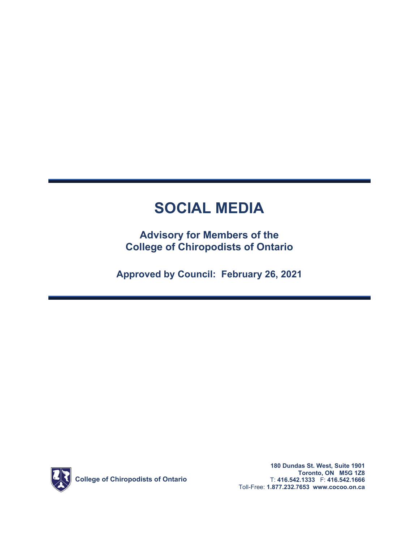# **SOCIAL MEDIA**

### **Advisory for Members of the College of Chiropodists of Ontario**

**Approved by Council: February 26, 2021** 

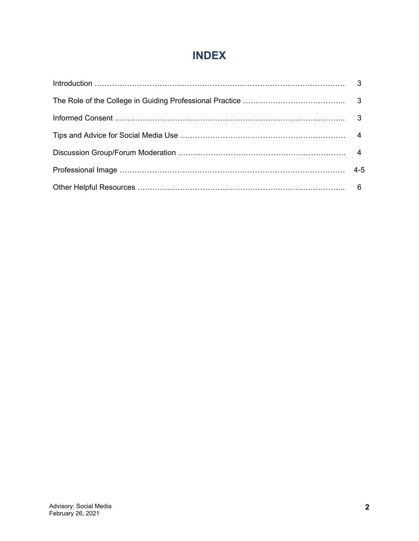## **INDEX**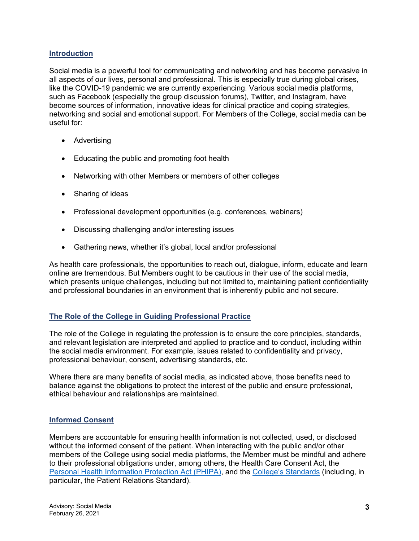#### **Introduction**

Social media is a powerful tool for communicating and networking and has become pervasive in all aspects of our lives, personal and professional. This is especially true during global crises, like the COVID-19 pandemic we are currently experiencing. Various social media platforms, such as Facebook (especially the group discussion forums), Twitter, and Instagram, have become sources of information, innovative ideas for clinical practice and coping strategies, networking and social and emotional support. For Members of the College, social media can be useful for:

- Advertising
- Educating the public and promoting foot health
- Networking with other Members or members of other colleges
- Sharing of ideas
- Professional development opportunities (e.g. conferences, webinars)
- Discussing challenging and/or interesting issues
- Gathering news, whether it's global, local and/or professional

As health care professionals, the opportunities to reach out, dialogue, inform, educate and learn online are tremendous. But Members ought to be cautious in their use of the social media, which presents unique challenges, including but not limited to, maintaining patient confidentiality and professional boundaries in an environment that is inherently public and not secure.

#### **The Role of the College in Guiding Professional Practice**

The role of the College in regulating the profession is to ensure the core principles, standards, and relevant legislation are interpreted and applied to practice and to conduct, including within the social media environment. For example, issues related to confidentiality and privacy, professional behaviour, consent, advertising standards, etc.

Where there are many benefits of social media, as indicated above, those benefits need to balance against the obligations to protect the interest of the public and ensure professional, ethical behaviour and relationships are maintained.

#### **Informed Consent**

Members are accountable for ensuring health information is not collected, used, or disclosed without the informed consent of the patient. When interacting with the public and/or other members of the College using social media platforms, the Member must be mindful and adhere to their professional obligations under, among others, the Health Care Consent Act, the [Personal Health Information Protection Act \(PHIPA\),](https://www.ontario.ca/laws/statute/04p03) and the [College's Standards \(](http://cocoo.on.ca/standards-of-practice/)including, in particular, the Patient Relations Standard).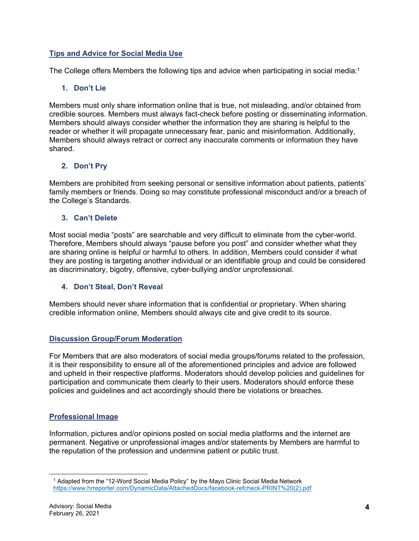#### **Tips and Advice for Social Media Use**

The College offers Members the following tips and advice when participating in social media:<sup>1</sup>

#### **1. Don't Lie**

Members must only share information online that is true, not misleading, and/or obtained from credible sources. Members must always fact-check before posting or disseminating information. Members should always consider whether the information they are sharing is helpful to the reader or whether it will propagate unnecessary fear, panic and misinformation. Additionally, Members should always retract or correct any inaccurate comments or information they have shared.

#### **2. Don't Pry**

Members are prohibited from seeking personal or sensitive information about patients, patients' family members or friends. Doing so may constitute professional misconduct and/or a breach of the College's Standards.

#### **3. Can't Delete**

Most social media "posts" are searchable and very difficult to eliminate from the cyber-world. Therefore, Members should always "pause before you post" and consider whether what they are sharing online is helpful or harmful to others. In addition, Members could consider if what they are posting is targeting another individual or an identifiable group and could be considered as discriminatory, bigotry, offensive, cyber-bullying and/or unprofessional.

#### **4. Don't Steal, Don't Reveal**

Members should never share information that is confidential or proprietary. When sharing credible information online, Members should always cite and give credit to its source.

#### **Discussion Group/Forum Moderation**

For Members that are also moderators of social media groups/forums related to the profession, it is their responsibility to ensure all of the aforementioned principles and advice are followed and upheld in their respective platforms. Moderators should develop policies and guidelines for participation and communicate them clearly to their users. Moderators should enforce these policies and guidelines and act accordingly should there be violations or breaches.

#### **Professional Image**

Information, pictures and/or opinions posted on social media platforms and the internet are permanent. Negative or unprofessional images and/or statements by Members are harmful to the reputation of the profession and undermine patient or public trust.

<sup>1</sup> Adapted from the "12-Word Social Media Policy" by the Mayo Clinic Social Media Network [https://www.hrreporter.com/DynamicData/AttachedDocs/facebook-refcheck-PRINT%20\(2\).pdf](https://www.hrreporter.com/DynamicData/AttachedDocs/facebook-refcheck-PRINT (2).pdf)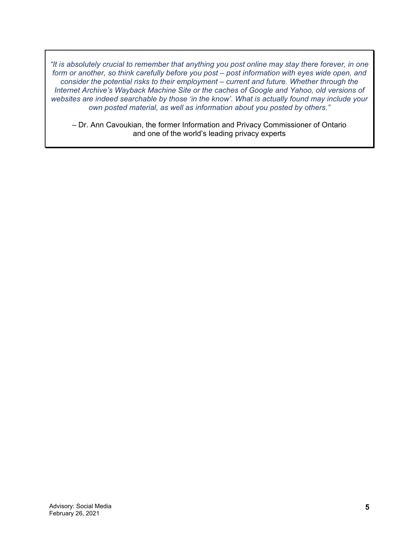*"It is absolutely crucial to remember that anything you post online may stay there forever, in one form or another, so think carefully before you post – post information with eyes wide open, and consider the potential risks to their employment – current and future. Whether through the Internet Archive's Wayback Machine Site or the caches of Google and Yahoo, old versions of websites are indeed searchable by those 'in the know'. What is actually found may include your own posted material, as well as information about you posted by others."* 

– Dr. Ann Cavoukian, the former Information and Privacy Commissioner of Ontario and one of the world's leading privacy experts